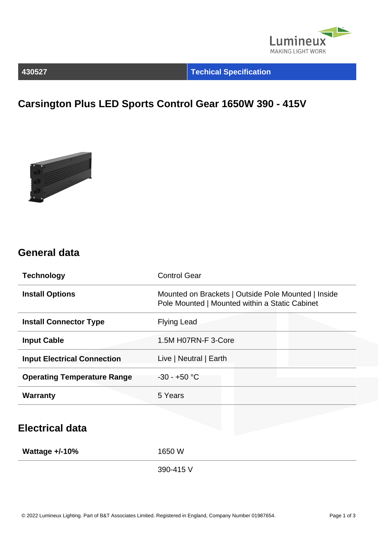

### **430527 Techical Specification**

# **Carsington Plus LED Sports Control Gear 1650W 390 - 415V**



### **General data**

| <b>Technology</b>                  | <b>Control Gear</b>                                                                                   |  |
|------------------------------------|-------------------------------------------------------------------------------------------------------|--|
| <b>Install Options</b>             | Mounted on Brackets   Outside Pole Mounted   Inside<br>Pole Mounted   Mounted within a Static Cabinet |  |
| <b>Install Connector Type</b>      | <b>Flying Lead</b>                                                                                    |  |
| <b>Input Cable</b>                 | 1.5M H07RN-F 3-Core                                                                                   |  |
| <b>Input Electrical Connection</b> | Live   Neutral   Earth                                                                                |  |
| <b>Operating Temperature Range</b> | $-30 - +50$ °C                                                                                        |  |
| <b>Warranty</b>                    | 5 Years                                                                                               |  |
|                                    |                                                                                                       |  |
| <b>Electrical data</b>             |                                                                                                       |  |
| Wattage $+/-10%$                   | 1650 W                                                                                                |  |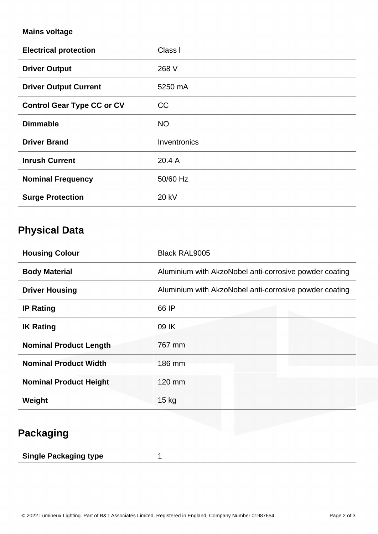#### **Mains voltage**

| <b>Electrical protection</b>      | Class I      |
|-----------------------------------|--------------|
| <b>Driver Output</b>              | 268 V        |
| <b>Driver Output Current</b>      | 5250 mA      |
| <b>Control Gear Type CC or CV</b> | CC           |
| <b>Dimmable</b>                   | <b>NO</b>    |
| <b>Driver Brand</b>               | Inventronics |
| <b>Inrush Current</b>             | 20.4 A       |
| <b>Nominal Frequency</b>          | 50/60 Hz     |
| <b>Surge Protection</b>           | 20 kV        |

## **Physical Data**

| <b>Housing Colour</b>         | <b>Black RAL9005</b>                                   |  |
|-------------------------------|--------------------------------------------------------|--|
| <b>Body Material</b>          | Aluminium with AkzoNobel anti-corrosive powder coating |  |
| <b>Driver Housing</b>         | Aluminium with AkzoNobel anti-corrosive powder coating |  |
| <b>IP Rating</b>              | 66 IP                                                  |  |
| <b>IK Rating</b>              | 09 IK                                                  |  |
| <b>Nominal Product Length</b> | 767 mm                                                 |  |
| <b>Nominal Product Width</b>  | 186 mm                                                 |  |
| <b>Nominal Product Height</b> | 120 mm                                                 |  |
| Weight                        | $15$ kg                                                |  |

# **Packaging**

| <b>Single Packaging type</b> |  |  |
|------------------------------|--|--|
|------------------------------|--|--|